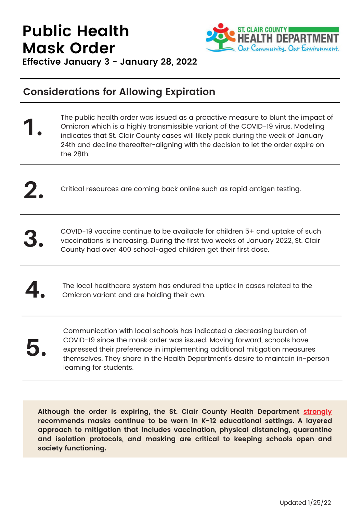## **Public Health DEPARTMENT Mask Order** Our Community. Our Environment.

**Effective January 3 - January 28, 2022**

## **Considerations for Allowing Expiration**

- The public health order was issued as a proactive measure to blunt the impact of Omicron which is a highly transmissible variant of the COVID-19 virus. Modeling indicates that St. Clair County cases will likely peak during the week of January 24th and decline thereafter-aligning with the decision to let the order expire on the 28th. **1.**
- **2.** Critical resources are coming back online such as rapid antigen testing.
- **3.** COVID-19 vaccine continue to be available for children 5+ and uptake of such vaccinations is increasing. During the first two weeks of January 2022, St. Clair County had over 400 school-aged children get their first dose.
- **4.** The local healthcare system has endured the uptick in cases related to the Omicron variant and are holding their own.
- **5.**

Communication with local schools has indicated a decreasing burden of COVID-19 since the mask order was issued. Moving forward, schools have expressed their preference in implementing additional mitigation measures themselves. They share in the Health Department's desire to maintain in-person learning for students.

**Although the order is expiring, the St. Clair County Health Department strongly recommends masks continue to be worn in K-12 educational settings. A layered approach to mitigation that includes vaccination, physical distancing, quarantine and isolation protocols, and masking are critical to keeping schools open and society functioning.**